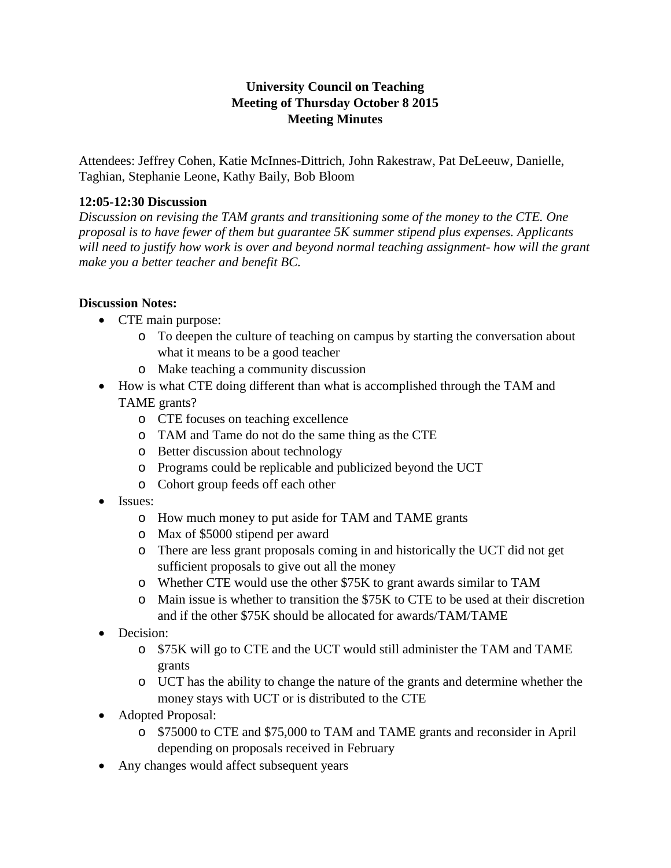# **University Council on Teaching Meeting of Thursday October 8 2015 Meeting Minutes**

Attendees: Jeffrey Cohen, Katie McInnes-Dittrich, John Rakestraw, Pat DeLeeuw, Danielle, Taghian, Stephanie Leone, Kathy Baily, Bob Bloom

#### **12:05-12:30 Discussion**

*Discussion on revising the TAM grants and transitioning some of the money to the CTE. One proposal is to have fewer of them but guarantee 5K summer stipend plus expenses. Applicants will need to justify how work is over and beyond normal teaching assignment- how will the grant make you a better teacher and benefit BC.* 

### **Discussion Notes:**

- CTE main purpose:
	- o To deepen the culture of teaching on campus by starting the conversation about what it means to be a good teacher
	- o Make teaching a community discussion
- How is what CTE doing different than what is accomplished through the TAM and TAME grants?
	- o CTE focuses on teaching excellence
	- o TAM and Tame do not do the same thing as the CTE
	- o Better discussion about technology
	- o Programs could be replicable and publicized beyond the UCT
	- o Cohort group feeds off each other
- Issues:
	- o How much money to put aside for TAM and TAME grants
	- o Max of \$5000 stipend per award
	- o There are less grant proposals coming in and historically the UCT did not get sufficient proposals to give out all the money
	- o Whether CTE would use the other \$75K to grant awards similar to TAM
	- o Main issue is whether to transition the \$75K to CTE to be used at their discretion and if the other \$75K should be allocated for awards/TAM/TAME
- Decision:
	- o \$75K will go to CTE and the UCT would still administer the TAM and TAME grants
	- o UCT has the ability to change the nature of the grants and determine whether the money stays with UCT or is distributed to the CTE
- Adopted Proposal:
	- o \$75000 to CTE and \$75,000 to TAM and TAME grants and reconsider in April depending on proposals received in February
- Any changes would affect subsequent years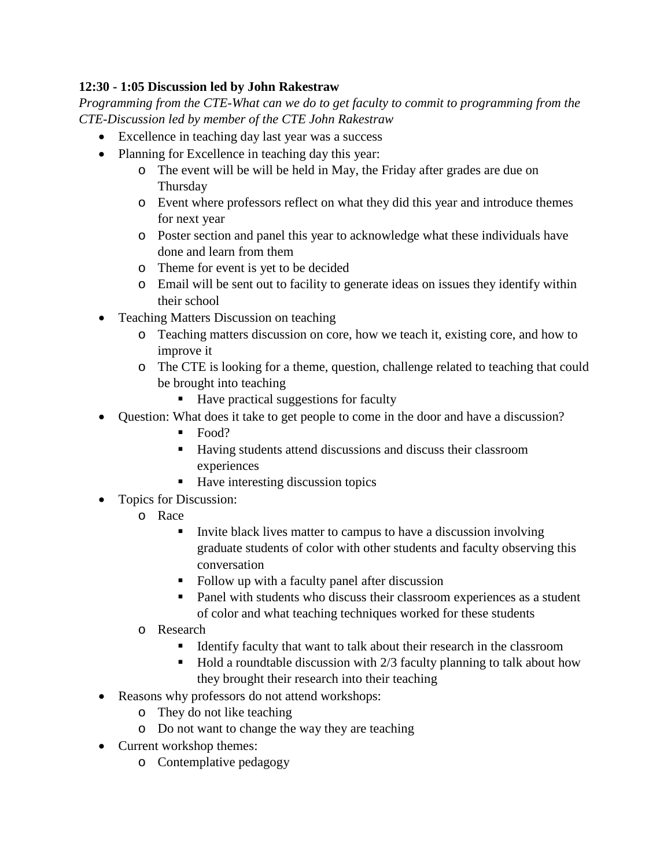## **12:30 - 1:05 Discussion led by John Rakestraw**

*Programming from the CTE-What can we do to get faculty to commit to programming from the CTE-Discussion led by member of the CTE John Rakestraw*

- Excellence in teaching day last year was a success
- Planning for Excellence in teaching day this year:
	- o The event will be will be held in May, the Friday after grades are due on Thursday
	- o Event where professors reflect on what they did this year and introduce themes for next year
	- o Poster section and panel this year to acknowledge what these individuals have done and learn from them
	- o Theme for event is yet to be decided
	- o Email will be sent out to facility to generate ideas on issues they identify within their school
- Teaching Matters Discussion on teaching
	- o Teaching matters discussion on core, how we teach it, existing core, and how to improve it
	- o The CTE is looking for a theme, question, challenge related to teaching that could be brought into teaching
		- Have practical suggestions for faculty
- Question: What does it take to get people to come in the door and have a discussion?
	- Food?
	- Having students attend discussions and discuss their classroom experiences
	- $\blacksquare$  Have interesting discussion topics
- Topics for Discussion:
	- o Race
		- Invite black lives matter to campus to have a discussion involving graduate students of color with other students and faculty observing this conversation
		- Follow up with a faculty panel after discussion
		- Panel with students who discuss their classroom experiences as a student of color and what teaching techniques worked for these students
	- o Research
		- If Identify faculty that want to talk about their research in the classroom
		- $\blacksquare$  Hold a roundtable discussion with 2/3 faculty planning to talk about how they brought their research into their teaching
- Reasons why professors do not attend workshops:
	- o They do not like teaching
	- o Do not want to change the way they are teaching
- Current workshop themes:
	- o Contemplative pedagogy